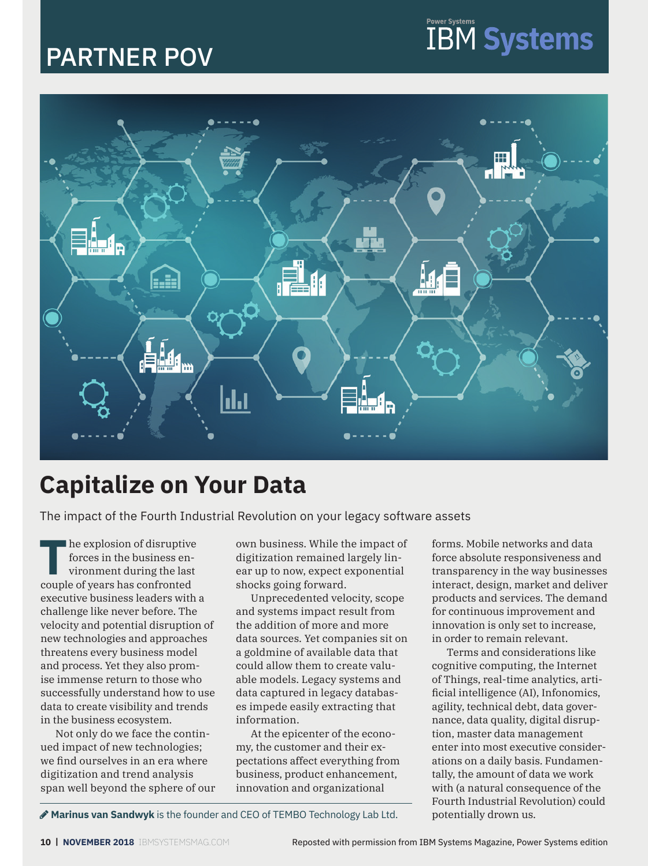# PARTNER POV



# **Capitalize on Your Data**

The impact of the Fourth Industrial Revolution on your legacy software assets

**T**he explosion of disruptive forces in the business environment during the last couple of years has confronted executive business leaders with a challenge like never before. The velocity and potential disruption of new technologies and approaches threatens every business model and process. Yet they also promise immense return to those who successfully understand how to use data to create visibility and trends in the business ecosystem.

Not only do we face the continued impact of new technologies; we find ourselves in an era where digitization and trend analysis span well beyond the sphere of our own business. While the impact of digitization remained largely linear up to now, expect exponential shocks going forward.

Unprecedented velocity, scope and systems impact result from the addition of more and more data sources. Yet companies sit on a goldmine of available data that could allow them to create valuable models. Legacy systems and data captured in legacy databases impede easily extracting that information.

At the epicenter of the economy, the customer and their expectations affect everything from business, product enhancement, innovation and organizational

forms. Mobile networks and data force absolute responsiveness and transparency in the way businesses interact, design, market and deliver products and services. The demand for continuous improvement and innovation is only set to increase, in order to remain relevant.

**IBM Systems** 

Terms and considerations like cognitive computing, the Internet of Things, real-time analytics, artificial intelligence (AI), Infonomics, agility, technical debt, data governance, data quality, digital disruption, master data management enter into most executive considerations on a daily basis. Fundamentally, the amount of data we work with (a natural consequence of the Fourth Industrial Revolution) could potentially drown us.

**Marinus van Sandwyk** is the founder and CEO of TEMBO Technology Lab Ltd.